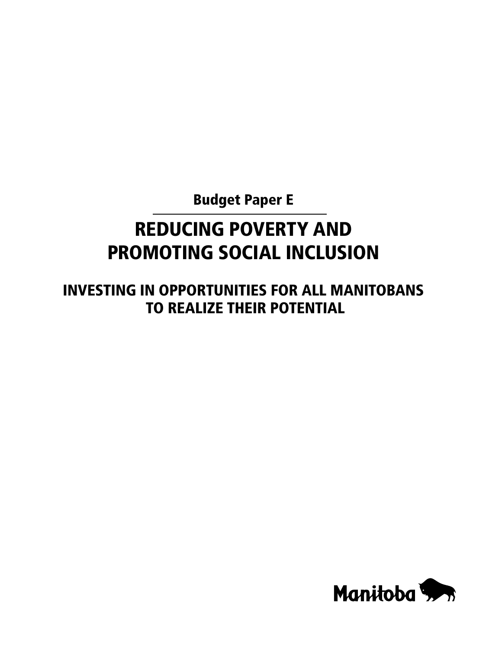Budget Paper E

# REDUCING POVERTY AND PROMOTING SOCIAL INCLUSION

INVESTING IN OPPORTUNITIES FOR ALL MANITOBANS TO REALIZE THEIR POTENTIAL

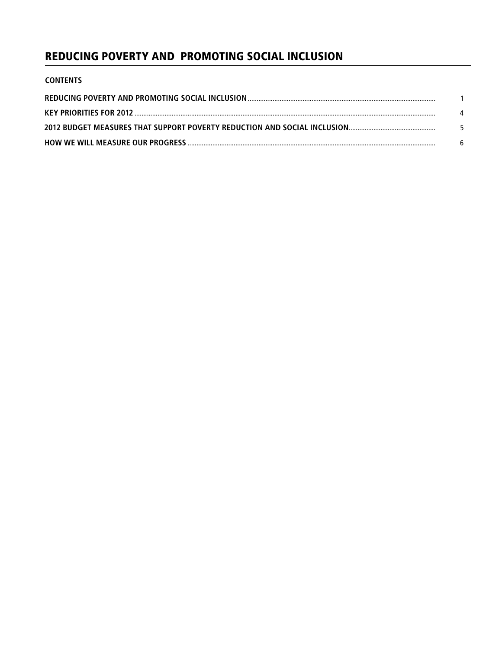# REDUCING POVERTY AND PROMOTING SOCIAL INCLUSION

| <b>CONTENTS</b> |    |
|-----------------|----|
|                 |    |
|                 |    |
|                 | -5 |
|                 |    |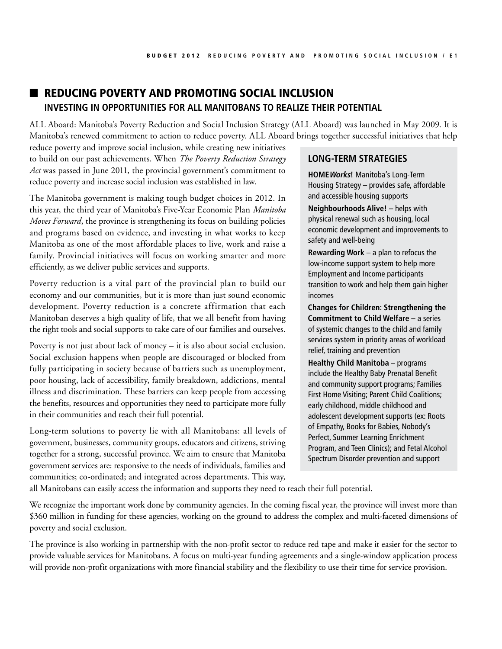# **n** Reducing Poverty and Promoting Social Inclusion **INVESTING IN OPPORTUNITIES FOR ALL MANITOBANS TO REALIZE THEIR POTENTIAL**

ALL Aboard: Manitoba's Poverty Reduction and Social Inclusion Strategy (ALL Aboard) was launched in May 2009. It is Manitoba's renewed commitment to action to reduce poverty. ALL Aboard brings together successful initiatives that help

reduce poverty and improve social inclusion, while creating new initiatives to build on our past achievements. When *The Poverty Reduction Strategy Act* was passed in June 2011, the provincial government's commitment to reduce poverty and increase social inclusion was established in law.

The Manitoba government is making tough budget choices in 2012. In this year, the third year of Manitoba's Five-Year Economic Plan *Manitoba Moves Forward*, the province is strengthening its focus on building policies and programs based on evidence, and investing in what works to keep Manitoba as one of the most affordable places to live, work and raise a family. Provincial initiatives will focus on working smarter and more efficiently, as we deliver public services and supports.

Poverty reduction is a vital part of the provincial plan to build our economy and our communities, but it is more than just sound economic development. Poverty reduction is a concrete affirmation that each Manitoban deserves a high quality of life, that we all benefit from having the right tools and social supports to take care of our families and ourselves.

Poverty is not just about lack of money – it is also about social exclusion. Social exclusion happens when people are discouraged or blocked from fully participating in society because of barriers such as unemployment, poor housing, lack of accessibility, family breakdown, addictions, mental illness and discrimination. These barriers can keep people from accessing the benefits, resources and opportunities they need to participate more fully in their communities and reach their full potential.

Long-term solutions to poverty lie with all Manitobans: all levels of government, businesses, community groups, educators and citizens, striving together for a strong, successful province. We aim to ensure that Manitoba government services are: responsive to the needs of individuals, families and communities; co-ordinated; and integrated across departments. This way,

## **LONG-TERM STRATEGIES**

**HOMEWorks!** Manitoba's Long-Term Housing Strategy – provides safe, affordable and accessible housing supports

**Neighbourhoods Alive!** – helps with physical renewal such as housing, local economic development and improvements to safety and well-being

**Rewarding Work** – a plan to refocus the low-income support system to help more Employment and Income participants transition to work and help them gain higher incomes

**Changes for Children: Strengthening the Commitment to Child Welfare** – a series of systemic changes to the child and family services system in priority areas of workload relief, training and prevention

**Healthy Child Manitoba** – programs include the Healthy Baby Prenatal Benefit and community support programs; Families First Home Visiting; Parent Child Coalitions; early childhood, middle childhood and adolescent development supports (ex: Roots of Empathy, Books for Babies, Nobody's Perfect, Summer Learning Enrichment Program, and Teen Clinics); and Fetal Alcohol Spectrum Disorder prevention and support

all Manitobans can easily access the information and supports they need to reach their full potential.

We recognize the important work done by community agencies. In the coming fiscal year, the province will invest more than \$360 million in funding for these agencies, working on the ground to address the complex and multi-faceted dimensions of poverty and social exclusion.

The province is also working in partnership with the non-profit sector to reduce red tape and make it easier for the sector to provide valuable services for Manitobans. A focus on multi-year funding agreements and a single-window application process will provide non-profit organizations with more financial stability and the flexibility to use their time for service provision.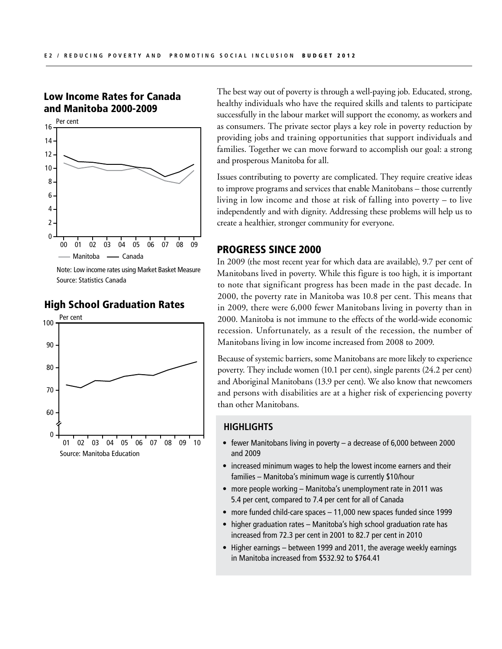## Low Income Rates for Canada and Manitoba 2000-2009



Source: Statistics Canada Note: Low income rates using Market Basket Measure



## High School Graduation Rates

The best way out of poverty is through a well-paying job. Educated, strong, healthy individuals who have the required skills and talents to participate successfully in the labour market will support the economy, as workers and as consumers. The private sector plays a key role in poverty reduction by providing jobs and training opportunities that support individuals and families. Together we can move forward to accomplish our goal: a strong and prosperous Manitoba for all.

Issues contributing to poverty are complicated. They require creative ideas to improve programs and services that enable Manitobans – those currently living in low income and those at risk of falling into poverty – to live independently and with dignity. Addressing these problems will help us to create a healthier, stronger community for everyone.

## PROGRESS SINCE 2000

In 2009 (the most recent year for which data are available), 9.7 per cent of Manitobans lived in poverty. While this figure is too high, it is important to note that significant progress has been made in the past decade. In 2000, the poverty rate in Manitoba was 10.8 per cent. This means that in 2009, there were 6,000 fewer Manitobans living in poverty than in 2000. Manitoba is not immune to the effects of the world-wide economic recession. Unfortunately, as a result of the recession, the number of Manitobans living in low income increased from 2008 to 2009.

Because of systemic barriers, some Manitobans are more likely to experience poverty. They include women (10.1 per cent), single parents (24.2 per cent) and Aboriginal Manitobans (13.9 per cent). We also know that newcomers and persons with disabilities are at a higher risk of experiencing poverty than other Manitobans.

### **HIGHLIGHTS**

- fewer Manitobans living in poverty a decrease of 6,000 between 2000 and 2009
- increased minimum wages to help the lowest income earners and their families – Manitoba's minimum wage is currently \$10/hour
- more people working Manitoba's unemployment rate in 2011 was 5.4 per cent, compared to 7.4 per cent for all of Canada
- more funded child-care spaces 11,000 new spaces funded since 1999
- higher graduation rates Manitoba's high school graduation rate has increased from 72.3 per cent in 2001 to 82.7 per cent in 2010
- Higher earnings between 1999 and 2011, the average weekly earnings in Manitoba increased from \$532.92 to \$764.41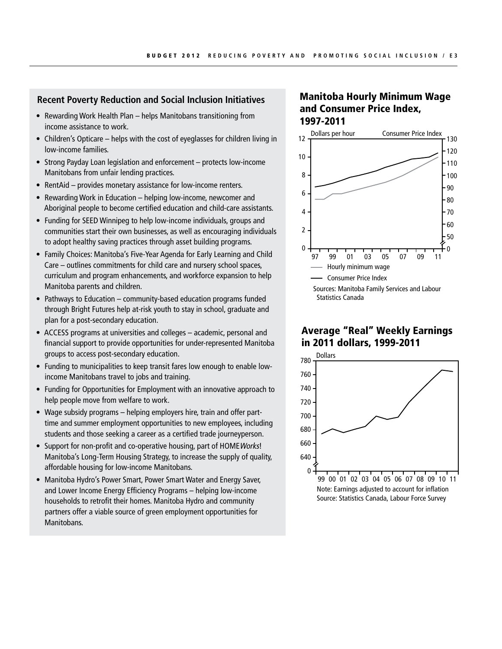## **Recent Poverty Reduction and Social Inclusion Initiatives**

- Rewarding Work Health Plan helps Manitobans transitioning from income assistance to work.
- Children's Opticare helps with the cost of eyeglasses for children living in low-income families.
- Strong Payday Loan legislation and enforcement protects low-income Manitobans from unfair lending practices.
- RentAid provides monetary assistance for low-income renters.
- Rewarding Work in Education helping low-income, newcomer and Aboriginal people to become certified education and child-care assistants.
- Funding for SEED Winnipeg to help low-income individuals, groups and communities start their own businesses, as well as encouraging individuals to adopt healthy saving practices through asset building programs.
- Family Choices: Manitoba's Five-Year Agenda for Early Learning and Child Care – outlines commitments for child care and nursery school spaces, curriculum and program enhancements, and workforce expansion to help Manitoba parents and children.
- Pathways to Education community-based education programs funded through Bright Futures help at-risk youth to stay in school, graduate and plan for a post-secondary education.
- ACCESS programs at universities and colleges academic, personal and financial support to provide opportunities for under-represented Manitoba groups to access post-secondary education.
- Funding to municipalities to keep transit fares low enough to enable lowincome Manitobans travel to jobs and training.
- Funding for Opportunities for Employment with an innovative approach to help people move from welfare to work.
- Wage subsidy programs helping employers hire, train and offer parttime and summer employment opportunities to new employees, including students and those seeking a career as a certified trade journeyperson.
- Support for non-profit and co-operative housing, part of HOME Works! Manitoba's Long-Term Housing Strategy, to increase the supply of quality, affordable housing for low-income Manitobans.
- Manitoba Hydro's Power Smart, Power Smart Water and Energy Saver, and Lower Income Energy Efficiency Programs – helping low-income households to retrofit their homes. Manitoba Hydro and community partners offer a viable source of green employment opportunities for Manitobans.

## Manitoba Hourly Minimum Wage and Consumer Price Index, 1997-2011



## Average "Real" Weekly Earnings in 2011 dollars, 1999-2011



Source: Statistics Canada, Labour Force Survey Note: Earnings adjusted to account for inflation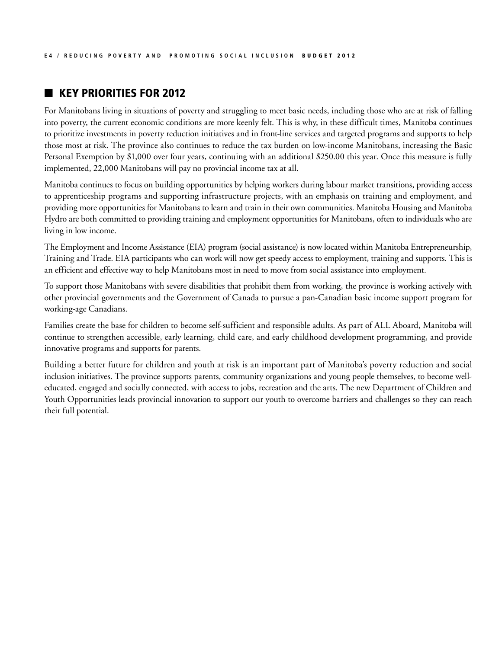## **KEY PRIORITIES FOR 2012**

For Manitobans living in situations of poverty and struggling to meet basic needs, including those who are at risk of falling into poverty, the current economic conditions are more keenly felt. This is why, in these difficult times, Manitoba continues to prioritize investments in poverty reduction initiatives and in front-line services and targeted programs and supports to help those most at risk. The province also continues to reduce the tax burden on low-income Manitobans, increasing the Basic Personal Exemption by \$1,000 over four years, continuing with an additional \$250.00 this year. Once this measure is fully implemented, 22,000 Manitobans will pay no provincial income tax at all.

Manitoba continues to focus on building opportunities by helping workers during labour market transitions, providing access to apprenticeship programs and supporting infrastructure projects, with an emphasis on training and employment, and providing more opportunities for Manitobans to learn and train in their own communities. Manitoba Housing and Manitoba Hydro are both committed to providing training and employment opportunities for Manitobans, often to individuals who are living in low income.

The Employment and Income Assistance (EIA) program (social assistance) is now located within Manitoba Entrepreneurship, Training and Trade. EIA participants who can work will now get speedy access to employment, training and supports. This is an efficient and effective way to help Manitobans most in need to move from social assistance into employment.

To support those Manitobans with severe disabilities that prohibit them from working, the province is working actively with other provincial governments and the Government of Canada to pursue a pan-Canadian basic income support program for working-age Canadians.

Families create the base for children to become self-sufficient and responsible adults. As part of ALL Aboard, Manitoba will continue to strengthen accessible, early learning, child care, and early childhood development programming, and provide innovative programs and supports for parents.

Building a better future for children and youth at risk is an important part of Manitoba's poverty reduction and social inclusion initiatives. The province supports parents, community organizations and young people themselves, to become welleducated, engaged and socially connected, with access to jobs, recreation and the arts. The new Department of Children and Youth Opportunities leads provincial innovation to support our youth to overcome barriers and challenges so they can reach their full potential.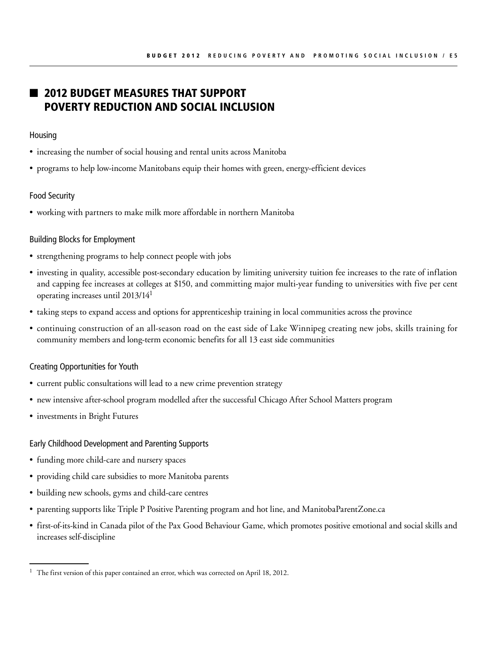# **2012 BUDGET MEASURES THAT SUPPORT** Poverty Reduction and Social Inclusion

#### Housing

- increasing the number of social housing and rental units across Manitoba
- programs to help low-income Manitobans equip their homes with green, energy-efficient devices

#### Food Security

• working with partners to make milk more affordable in northern Manitoba

#### Building Blocks for Employment

- • strengthening programs to help connect people with jobs
- investing in quality, accessible post-secondary education by limiting university tuition fee increases to the rate of inflation and capping fee increases at colleges at \$150, and committing major multi-year funding to universities with five per cent operating increases until 2013/141
- taking steps to expand access and options for apprenticeship training in local communities across the province
- • continuing construction of an all-season road on the east side of Lake Winnipeg creating new jobs, skills training for community members and long-term economic benefits for all 13 east side communities

#### Creating Opportunities for Youth

- current public consultations will lead to a new crime prevention strategy
- new intensive after-school program modelled after the successful Chicago After School Matters program
- investments in Bright Futures

#### Early Childhood Development and Parenting Supports

- funding more child-care and nursery spaces
- providing child care subsidies to more Manitoba parents
- building new schools, gyms and child-care centres
- • parenting supports like Triple P Positive Parenting program and hot line, and ManitobaParentZone.ca
- first-of-its-kind in Canada pilot of the Pax Good Behaviour Game, which promotes positive emotional and social skills and increases self-discipline

<sup>&</sup>lt;sup>1</sup> The first version of this paper contained an error, which was corrected on April 18, 2012.